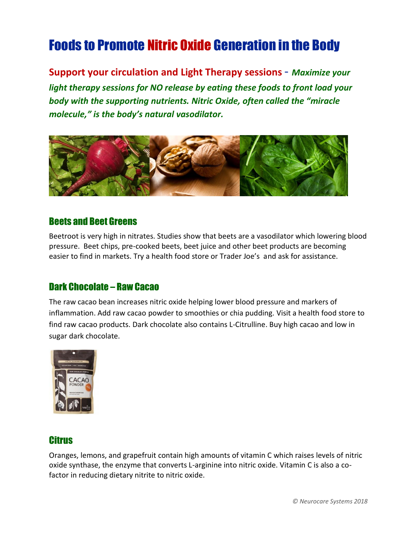# Foods to Promote Nitric Oxide Generation in the Body

**Support your circulation and Light Therapy sessions** - *Maximize your light therapy sessions for NO release by eating these foods to front load your body with the supporting nutrients. Nitric Oxide, often called the "miracle molecule," is the body's natural vasodilator.* 



#### Beets and Beet Greens

Beetroot is very high in nitrates. Studies show that beets are a vasodilator which lowering blood pressure. Beet chips, pre-cooked beets, beet juice and other beet products are becoming easier to find in markets. Try a health food store or Trader Joe's and ask for assistance.

#### Dark Chocolate – Raw Cacao

The raw cacao bean increases nitric oxide helping lower blood pressure and markers of inflammation. Add raw cacao powder to smoothies or chia pudding. Visit a health food store to find raw cacao products. Dark chocolate also contains L-Citrulline. Buy high cacao and low in sugar dark chocolate.



#### **Citrus**

Oranges, lemons, and grapefruit contain high amounts of vitamin C which raises levels of nitric oxide synthase, the enzyme that converts L-arginine into nitric oxide. Vitamin C is also a cofactor in reducing dietary nitrite to nitric oxide.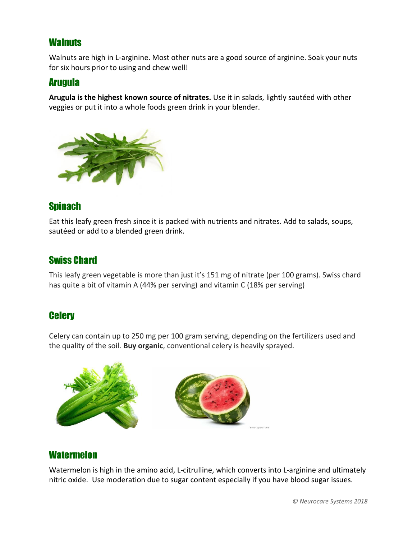#### **Walnuts**

Walnuts are high in L-arginine. Most other nuts are a good source of arginine. Soak your nuts for six hours prior to using and chew well!

#### Arugula

**Arugula is the highest known source of nitrates.** Use it in salads, lightly sautéed with other veggies or put it into a whole foods green drink in your blender.



#### **Spinach**

Eat this leafy green fresh since it is packed with nutrients and nitrates. Add to salads, soups, sautéed or add to a blended green drink.

## Swiss Chard

This leafy green vegetable is more than just it's 151 mg of nitrate (per 100 grams). Swiss chard has quite a bit of vitamin A (44% per serving) and vitamin C (18% per serving)

#### **Celery**

Celery can contain up to 250 mg per 100 gram serving, depending on the fertilizers used and the quality of the soil. **Buy organic**, conventional celery is heavily sprayed.



#### **Watermelon**

Watermelon is high in the amino acid, L-citrulline, which converts into L-arginine and ultimately nitric oxide. Use moderation due to sugar content especially if you have blood sugar issues.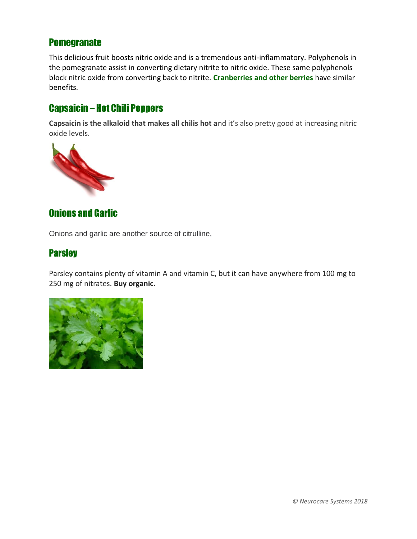#### **Pomegranate**

This delicious fruit boosts nitric oxide and is a tremendous anti-inflammatory. Polyphenols in the pomegranate assist in converting dietary nitrite to nitric oxide. These same polyphenols block nitric oxide from converting back to nitrite. **Cranberries and other berries** have similar benefits.

## Capsaicin – Hot Chili Peppers

**Capsaicin is the alkaloid that makes all chilis hot a**nd it's also pretty good at increasing nitric oxide levels.



### Onions and Garlic

Onions and garlic are another source of citrulline,

#### **Parsley**

Parsley contains plenty of vitamin A and vitamin C, but it can have anywhere from 100 mg to 250 mg of nitrates. **Buy organic.**